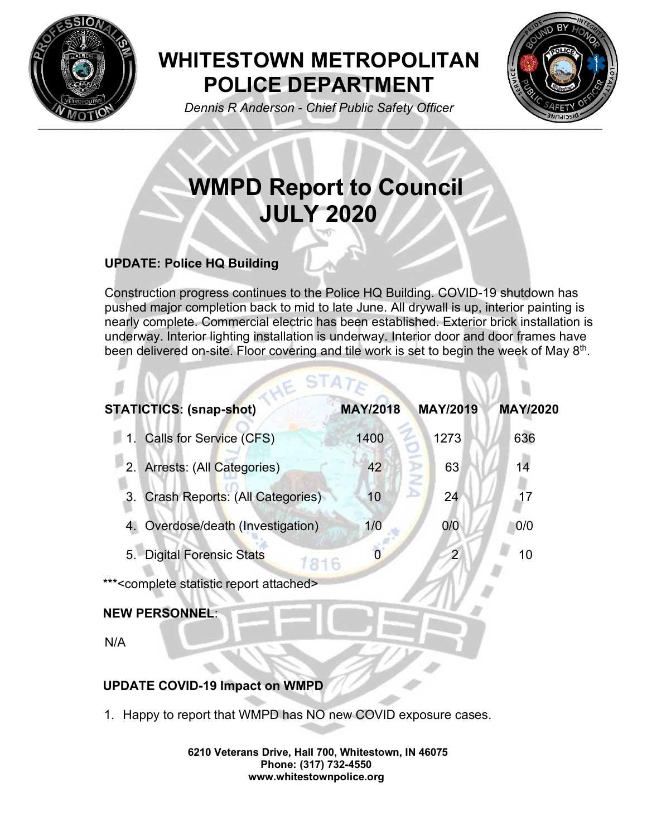

## **WHITESTOWN METROPOLITAN POLICE DEPARTMENT**



*Dennis R Anderson - Chief Public Safety Officer*

# **WMPD Report to Council JULY 2020**

### **UPDATE: Police HQ Building**

Construction progress continues to the Police HQ Building. COVID-19 shutdown has pushed major completion back to mid to late June. All drywall is up, interior painting is nearly complete. Commercial electric has been established. Exterior brick installation is underway. Interior lighting installation is underway. Interior door and door frames have been delivered on-site. Floor covering and tile work is set to begin the week of May 8<sup>th</sup>.

| <b>STATICTICS: (snap-shot)</b>                               | <b>MAY/2018</b> | <b>MAY/2019</b>  | <b>MAY/2020</b> |
|--------------------------------------------------------------|-----------------|------------------|-----------------|
| 1. Calls for Service (CFS)                                   | 1400            | 1273             | 636             |
| 2. Arrests: (All Categories)                                 | 42              | <b>ANA</b><br>63 | 14              |
| Crash Reports: (All Categories)<br>3.                        | 10              | 24               | $\overline{17}$ |
| Overdose/death (Investigation)                               | 1/0             | 0/0              | 0/0             |
| 5. Digital Forensic Stats<br>1816                            | 0               | 2                | 10              |
| *** <complete attached="" report="" statistic=""></complete> |                 |                  |                 |
| <b>NEW PERSONNEL:</b>                                        |                 |                  |                 |
| N/A                                                          |                 |                  |                 |
|                                                              |                 |                  |                 |

LIE STATE

#### **UPDATE COVID-19 Impact on WMPD**

1. Happy to report that WMPD has NO new COVID exposure cases.

**6210 Veterans Drive, Hall 700, Whitestown, IN 46075 Phone: (317) 732-4550 www.whitestownpolice.org**